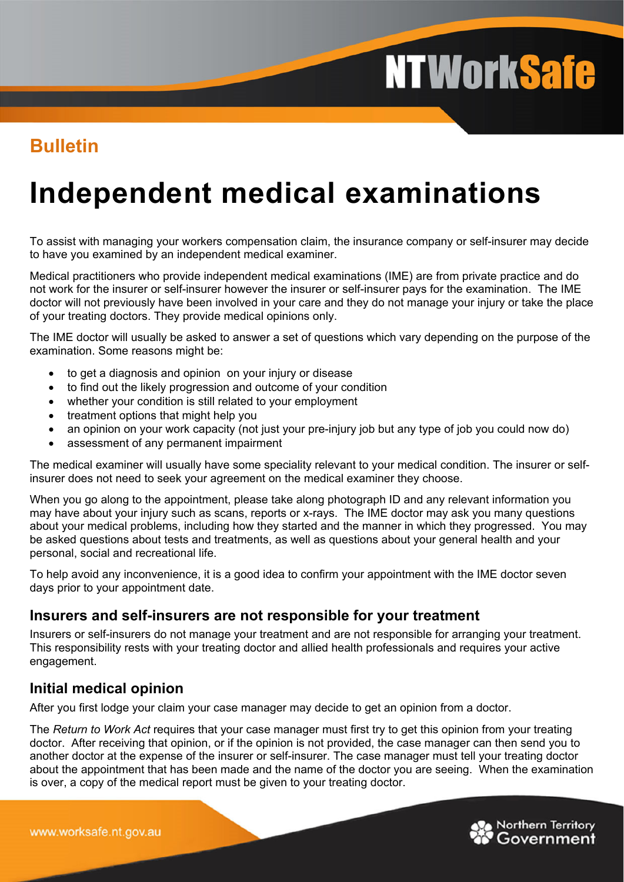# **NTWorkSafe**

### **Bulletin**

## **Independent medical examinations**

To assist with managing your workers compensation claim, the insurance company or self-insurer may decide to have you examined by an independent medical examiner.

Medical practitioners who provide independent medical examinations (IME) are from private practice and do not work for the insurer or self-insurer however the insurer or self-insurer pays for the examination. The IME doctor will not previously have been involved in your care and they do not manage your injury or take the place of your treating doctors. They provide medical opinions only.

The IME doctor will usually be asked to answer a set of questions which vary depending on the purpose of the examination. Some reasons might be:

- to get a diagnosis and opinion on your injury or disease
- to find out the likely progression and outcome of your condition
- whether your condition is still related to your employment
- treatment options that might help you
- an opinion on your work capacity (not just your pre-injury job but any type of job you could now do)
- assessment of any permanent impairment

The medical examiner will usually have some speciality relevant to your medical condition. The insurer or selfinsurer does not need to seek your agreement on the medical examiner they choose.

When you go along to the appointment, please take along photograph ID and any relevant information you may have about your injury such as scans, reports or x-rays. The IME doctor may ask you many questions about your medical problems, including how they started and the manner in which they progressed. You may be asked questions about tests and treatments, as well as questions about your general health and your personal, social and recreational life.

To help avoid any inconvenience, it is a good idea to confirm your appointment with the IME doctor seven days prior to your appointment date.

#### **Insurers and self-insurers are not responsible for your treatment**

Insurers or self-insurers do not manage your treatment and are not responsible for arranging your treatment. This responsibility rests with your treating doctor and allied health professionals and requires your active engagement.

#### **Initial medical opinion**

After you first lodge your claim your case manager may decide to get an opinion from a doctor.

The *Return to Work Act* requires that your case manager must first try to get this opinion from your treating doctor. After receiving that opinion, or if the opinion is not provided, the case manager can then send you to another doctor at the expense of the insurer or self-insurer. The case manager must tell your treating doctor about the appointment that has been made and the name of the doctor you are seeing. When the examination is over, a copy of the medical report must be given to your treating doctor.